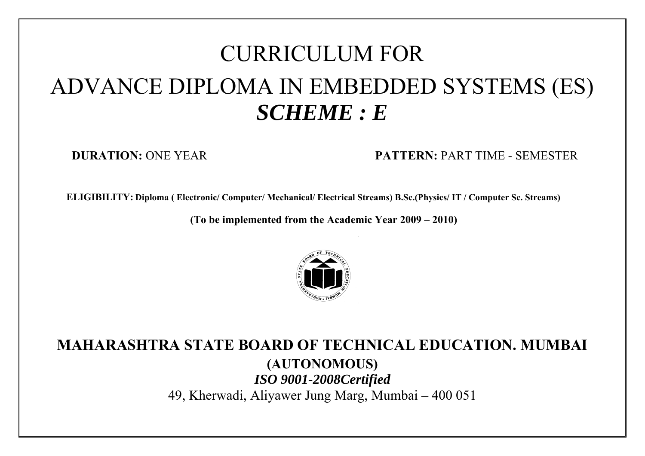# CURRICULUM FOR ADVANCE DIPLOMA IN EMBEDDED SYSTEMS (ES) *SCHEME : E*

**DURATION:** ONE YEAR **PATTERN:** PART TIME - SEMESTER

**ELIGIBILITY: Diploma ( Electronic/ Computer/ Mechanical/ Electrical Streams) B.Sc.(Physics/ IT / Computer Sc. Streams)**

**(To be implemented from the Academic Year 2009 – 2010)** 



## **MAHARASHTRA STATE BOARD OF TECHNICAL EDUCATION. MUMBAI (AUTONOMOUS)**  *ISO 9001-2008Certified*  49, Kherwadi, Aliyawer Jung Marg, Mumbai – 400 051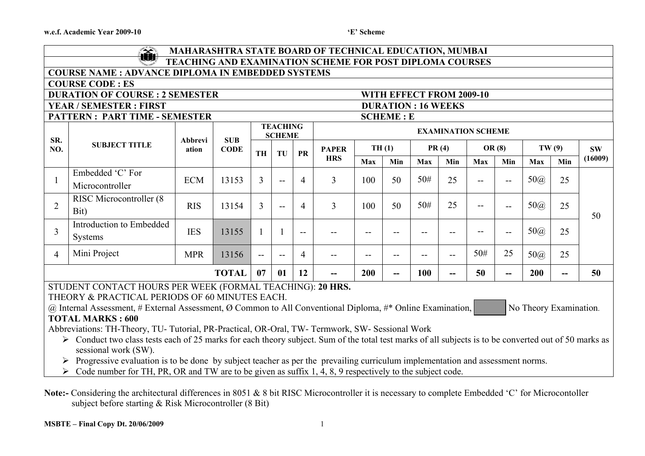|                                                                                                                                                                                                                                                                                                                                                                                                                                                                                                                                                                                                                                                                                                                                                                                                                                          | $\sum_{i=1}^{n}$<br><b>MAHARASHTRA STATE BOARD OF TECHNICAL EDUCATION, MUMBAI</b><br>tŴ                              |            |              |                |                                  |                          |                |                   |                  |            |       |                           |                |            |       |           |
|------------------------------------------------------------------------------------------------------------------------------------------------------------------------------------------------------------------------------------------------------------------------------------------------------------------------------------------------------------------------------------------------------------------------------------------------------------------------------------------------------------------------------------------------------------------------------------------------------------------------------------------------------------------------------------------------------------------------------------------------------------------------------------------------------------------------------------------|----------------------------------------------------------------------------------------------------------------------|------------|--------------|----------------|----------------------------------|--------------------------|----------------|-------------------|------------------|------------|-------|---------------------------|----------------|------------|-------|-----------|
|                                                                                                                                                                                                                                                                                                                                                                                                                                                                                                                                                                                                                                                                                                                                                                                                                                          | TEACHING AND EXAMINATION SCHEME FOR POST DIPLOMA COURSES<br><b>COURSE NAME : ADVANCE DIPLOMA IN EMBEDDED SYSTEMS</b> |            |              |                |                                  |                          |                |                   |                  |            |       |                           |                |            |       |           |
| <b>COURSE CODE: ES</b>                                                                                                                                                                                                                                                                                                                                                                                                                                                                                                                                                                                                                                                                                                                                                                                                                   |                                                                                                                      |            |              |                |                                  |                          |                |                   |                  |            |       |                           |                |            |       |           |
| <b>DURATION OF COURSE : 2 SEMESTER</b><br>WITH EFFECT FROM 2009-10                                                                                                                                                                                                                                                                                                                                                                                                                                                                                                                                                                                                                                                                                                                                                                       |                                                                                                                      |            |              |                |                                  |                          |                |                   |                  |            |       |                           |                |            |       |           |
|                                                                                                                                                                                                                                                                                                                                                                                                                                                                                                                                                                                                                                                                                                                                                                                                                                          | <b>YEAR / SEMESTER: FIRST</b><br><b>DURATION: 16 WEEKS</b>                                                           |            |              |                |                                  |                          |                |                   |                  |            |       |                           |                |            |       |           |
|                                                                                                                                                                                                                                                                                                                                                                                                                                                                                                                                                                                                                                                                                                                                                                                                                                          | <b>PATTERN: PART TIME - SEMESTER</b>                                                                                 |            |              |                |                                  |                          |                |                   | <b>SCHEME: E</b> |            |       |                           |                |            |       |           |
| SR.                                                                                                                                                                                                                                                                                                                                                                                                                                                                                                                                                                                                                                                                                                                                                                                                                                      |                                                                                                                      | Abbrevi    | <b>SUB</b>   |                | <b>TEACHING</b><br><b>SCHEME</b> |                          |                |                   |                  |            |       | <b>EXAMINATION SCHEME</b> |                |            |       |           |
| NO.                                                                                                                                                                                                                                                                                                                                                                                                                                                                                                                                                                                                                                                                                                                                                                                                                                      | <b>SUBJECT TITLE</b>                                                                                                 | ation      | <b>CODE</b>  | TH             | TU                               | PR                       | <b>PAPER</b>   |                   | TH(1)            |            | PR(4) |                           | OR(8)          |            | TW(9) | <b>SW</b> |
|                                                                                                                                                                                                                                                                                                                                                                                                                                                                                                                                                                                                                                                                                                                                                                                                                                          |                                                                                                                      |            |              |                |                                  |                          | <b>HRS</b>     | Max               | Min              | Max        | Min   | Max                       | Min            | Max        | Min   | (16009)   |
|                                                                                                                                                                                                                                                                                                                                                                                                                                                                                                                                                                                                                                                                                                                                                                                                                                          | Embedded 'C' For<br>Microcontroller                                                                                  | <b>ECM</b> | 13153        | $\overline{3}$ | $-$                              | $\overline{4}$           | $\overline{3}$ | 100               | 50               | 50#        | 25    | $- -$                     | $-$            | $50\omega$ | 25    |           |
| 2                                                                                                                                                                                                                                                                                                                                                                                                                                                                                                                                                                                                                                                                                                                                                                                                                                        | <b>RISC Microcontroller (8)</b><br>Bit)                                                                              | <b>RIS</b> | 13154        | $\overline{3}$ | $-$                              | $\overline{4}$           | $\overline{3}$ | 100               | 50               | 50#        | 25    |                           | --             | $50\omega$ | 25    | 50        |
| $\overline{3}$                                                                                                                                                                                                                                                                                                                                                                                                                                                                                                                                                                                                                                                                                                                                                                                                                           | Introduction to Embedded<br>Systems                                                                                  | <b>IES</b> | 13155        | 1              |                                  | $\overline{\phantom{a}}$ |                | $-$               | --               |            |       |                           | $-$            | $50\omega$ | 25    |           |
| $\overline{4}$                                                                                                                                                                                                                                                                                                                                                                                                                                                                                                                                                                                                                                                                                                                                                                                                                           | Mini Project                                                                                                         | <b>MPR</b> | 13156        | $\overline{a}$ | $-$                              | $\overline{4}$           |                | $\qquad \qquad -$ | $- -$            | $-$        | --    | 50#                       | 25             | $50\omega$ | 25    |           |
|                                                                                                                                                                                                                                                                                                                                                                                                                                                                                                                                                                                                                                                                                                                                                                                                                                          |                                                                                                                      |            | <b>TOTAL</b> | 07             | 01                               | 12                       |                | <b>200</b>        | $\overline{a}$   | <b>100</b> | --    | 50                        | $\overline{a}$ | <b>200</b> | $-$   | 50        |
| STUDENT CONTACT HOURS PER WEEK (FORMAL TEACHING): 20 HRS.<br>THEORY & PRACTICAL PERIODS OF 60 MINUTES EACH.<br>@ Internal Assessment, # External Assessment, Ø Common to All Conventional Diploma, #* Online Examination,<br>No Theory Examination.<br><b>TOTAL MARKS: 600</b><br>Abbreviations: TH-Theory, TU- Tutorial, PR-Practical, OR-Oral, TW- Termwork, SW- Sessional Work<br>> Conduct two class tests each of 25 marks for each theory subject. Sum of the total test marks of all subjects is to be converted out of 50 marks as<br>sessional work (SW).<br>Progressive evaluation is to be done by subject teacher as per the prevailing curriculum implementation and assessment norms.<br>Code number for TH, PR, OR and TW are to be given as suffix 1, 4, 8, 9 respectively to the subject code.<br>$\blacktriangleright$ |                                                                                                                      |            |              |                |                                  |                          |                |                   |                  |            |       |                           |                |            |       |           |

**Note:-** Considering the architectural differences in 8051 & 8 bit RISC Microcontroller it is necessary to complete Embedded 'C' for Microcontoller subject before starting & Risk Microcontroller (8 Bit)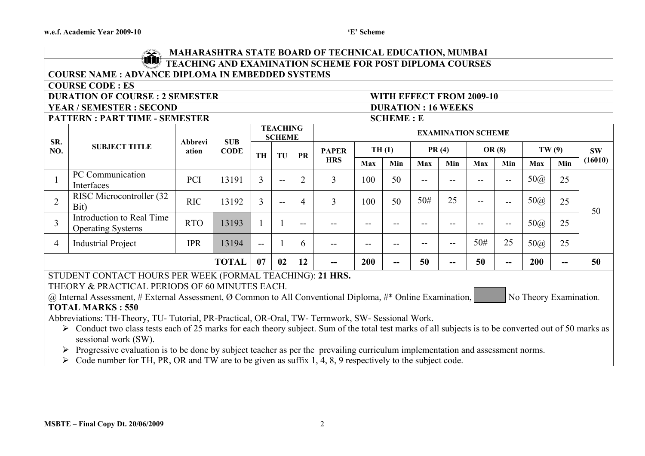#### 'E' Scheme

|                                                                                                                                                       | MAHARASHTRA STATE BOARD OF TECHNICAL EDUCATION, MUMBAI<br><u>Indian San Sa</u>                                                |            |              |              |                                  |                          |                |                   |     |     |       |                           |                          |                        |     |           |
|-------------------------------------------------------------------------------------------------------------------------------------------------------|-------------------------------------------------------------------------------------------------------------------------------|------------|--------------|--------------|----------------------------------|--------------------------|----------------|-------------------|-----|-----|-------|---------------------------|--------------------------|------------------------|-----|-----------|
|                                                                                                                                                       | 山顶<br>TEACHING AND EXAMINATION SCHEME FOR POST DIPLOMA COURSES                                                                |            |              |              |                                  |                          |                |                   |     |     |       |                           |                          |                        |     |           |
|                                                                                                                                                       | <b>COURSE NAME : ADVANCE DIPLOMA IN EMBEDDED SYSTEMS</b>                                                                      |            |              |              |                                  |                          |                |                   |     |     |       |                           |                          |                        |     |           |
| <b>COURSE CODE: ES</b>                                                                                                                                |                                                                                                                               |            |              |              |                                  |                          |                |                   |     |     |       |                           |                          |                        |     |           |
| <b>DURATION OF COURSE : 2 SEMESTER</b><br>WITH EFFECT FROM 2009-10                                                                                    |                                                                                                                               |            |              |              |                                  |                          |                |                   |     |     |       |                           |                          |                        |     |           |
| <b>YEAR / SEMESTER : SECOND</b><br><b>DURATION: 16 WEEKS</b>                                                                                          |                                                                                                                               |            |              |              |                                  |                          |                |                   |     |     |       |                           |                          |                        |     |           |
|                                                                                                                                                       | <b>PATTERN: PART TIME - SEMESTER</b><br><b>SCHEME: E</b>                                                                      |            |              |              |                                  |                          |                |                   |     |     |       |                           |                          |                        |     |           |
| SR.                                                                                                                                                   |                                                                                                                               | Abbrevi    | <b>SUB</b>   |              | <b>TEACHING</b><br><b>SCHEME</b> |                          |                |                   |     |     |       | <b>EXAMINATION SCHEME</b> |                          |                        |     |           |
| NO.                                                                                                                                                   | <b>SUBJECT TITLE</b>                                                                                                          | ation      | <b>CODE</b>  | <b>TH</b>    | TU                               | <b>PR</b>                | <b>PAPER</b>   | TH(1)             |     |     | PR(4) |                           | OR $(8)$                 | TW(9)                  |     | <b>SW</b> |
|                                                                                                                                                       |                                                                                                                               |            |              |              |                                  |                          | <b>HRS</b>     | Max               | Min | Max | Min   | <b>Max</b>                | Min                      | Max                    | Min | (16010)   |
| 1                                                                                                                                                     | PC Communication<br>Interfaces                                                                                                | PCI        | 13191        | 3            | $-$                              | $\overline{2}$           | 3              | 100               | 50  | $-$ | --    | $-$                       | $-$                      | $50\omega$             | 25  |           |
| $\overline{2}$                                                                                                                                        | RISC Microcontroller (32<br>Bit)                                                                                              | <b>RIC</b> | 13192        | 3            | $-$                              | $\overline{4}$           | $\overline{3}$ | 100               | 50  | 50# | 25    | $- -$                     | $-$                      | $50\omega$             | 25  | 50        |
| 3                                                                                                                                                     | Introduction to Real Time<br><b>Operating Systems</b>                                                                         | <b>RTO</b> | 13193        | $\mathbf{1}$ |                                  | $\overline{\phantom{m}}$ |                | $ -$              | --  | --  | --    | --                        | $\overline{\phantom{m}}$ | $50\omega$             | 25  |           |
| 4                                                                                                                                                     | <b>Industrial Project</b>                                                                                                     | <b>IPR</b> | 13194        | $\mathbf{u}$ |                                  | 6                        | --             | $\qquad \qquad -$ | $-$ |     | --    | 50#                       | 25                       | $50\omega$             | 25  |           |
|                                                                                                                                                       |                                                                                                                               |            | <b>TOTAL</b> | 07           | 02                               | 12                       | --             | 200               | --  | 50  | --    | 50                        |                          | 200                    | --  | 50        |
|                                                                                                                                                       | STUDENT CONTACT HOURS PER WEEK (FORMAL TEACHING): 21 HRS.                                                                     |            |              |              |                                  |                          |                |                   |     |     |       |                           |                          |                        |     |           |
|                                                                                                                                                       | THEORY & PRACTICAL PERIODS OF 60 MINUTES EACH.                                                                                |            |              |              |                                  |                          |                |                   |     |     |       |                           |                          |                        |     |           |
|                                                                                                                                                       | @ Internal Assessment, # External Assessment, $\emptyset$ Common to All Conventional Diploma, #* Online Examination,          |            |              |              |                                  |                          |                |                   |     |     |       |                           |                          | No Theory Examination. |     |           |
|                                                                                                                                                       | <b>TOTAL MARKS: 550</b>                                                                                                       |            |              |              |                                  |                          |                |                   |     |     |       |                           |                          |                        |     |           |
| Abbreviations: TH-Theory, TU- Tutorial, PR-Practical, OR-Oral, TW- Termwork, SW- Sessional Work.                                                      |                                                                                                                               |            |              |              |                                  |                          |                |                   |     |     |       |                           |                          |                        |     |           |
| > Conduct two class tests each of 25 marks for each theory subject. Sum of the total test marks of all subjects is to be converted out of 50 marks as |                                                                                                                               |            |              |              |                                  |                          |                |                   |     |     |       |                           |                          |                        |     |           |
|                                                                                                                                                       | sessional work (SW).                                                                                                          |            |              |              |                                  |                          |                |                   |     |     |       |                           |                          |                        |     |           |
|                                                                                                                                                       | Progressive evaluation is to be done by subject teacher as per the prevailing curriculum implementation and assessment norms. |            |              |              |                                  |                          |                |                   |     |     |       |                           |                          |                        |     |           |
|                                                                                                                                                       | Code number for TH, PR, OR and TW are to be given as suffix 1, 4, 8, 9 respectively to the subject code.                      |            |              |              |                                  |                          |                |                   |     |     |       |                           |                          |                        |     |           |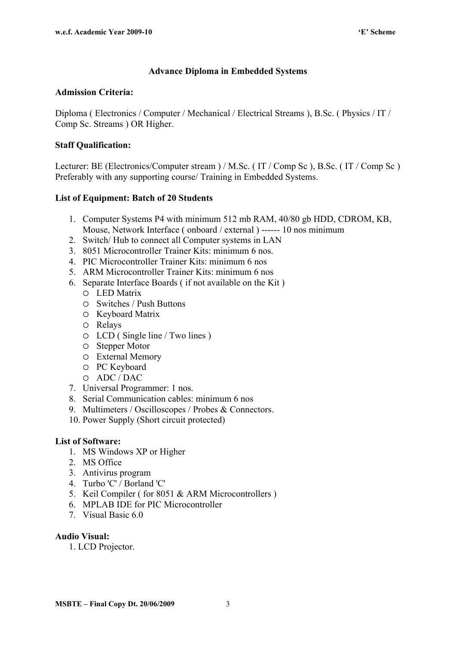#### **Advance Diploma in Embedded Systems**

#### **Admission Criteria:**

Diploma ( Electronics / Computer / Mechanical / Electrical Streams ), B.Sc. ( Physics / IT / Comp Sc. Streams ) OR Higher.

#### **Staff Qualification:**

Lecturer: BE (Electronics/Computer stream ) / M.Sc. ( IT / Comp Sc ), B.Sc. ( IT / Comp Sc ) Preferably with any supporting course/ Training in Embedded Systems.

#### **List of Equipment: Batch of 20 Students**

- 1. Computer Systems P4 with minimum 512 mb RAM, 40/80 gb HDD, CDROM, KB, Mouse, Network Interface ( onboard / external ) ------ 10 nos minimum
- 2. Switch/ Hub to connect all Computer systems in LAN
- 3. 8051 Microcontroller Trainer Kits: minimum 6 nos.
- 4. PIC Microcontroller Trainer Kits: minimum 6 nos
- 5. ARM Microcontroller Trainer Kits: minimum 6 nos
- 6. Separate Interface Boards ( if not available on the Kit )
	- LED Matrix
	- Switches / Push Buttons
	- O Keyboard Matrix
	- Relays
	- LCD ( Single line / Two lines )
	- Stepper Motor
	- External Memory
	- PC Keyboard
	- ADC / DAC
- 7. Universal Programmer: 1 nos.
- 8. Serial Communication cables: minimum 6 nos
- 9. Multimeters / Oscilloscopes / Probes & Connectors.
- 10. Power Supply (Short circuit protected)

#### **List of Software:**

- 1. MS Windows XP or Higher
- 2. MS Office
- 3. Antivirus program
- 4. Turbo 'C' / Borland 'C'
- 5. Keil Compiler ( for 8051 & ARM Microcontrollers )
- 6. MPLAB IDE for PIC Microcontroller
- 7. Visual Basic 6.0

#### **Audio Visual:**

1. LCD Projector.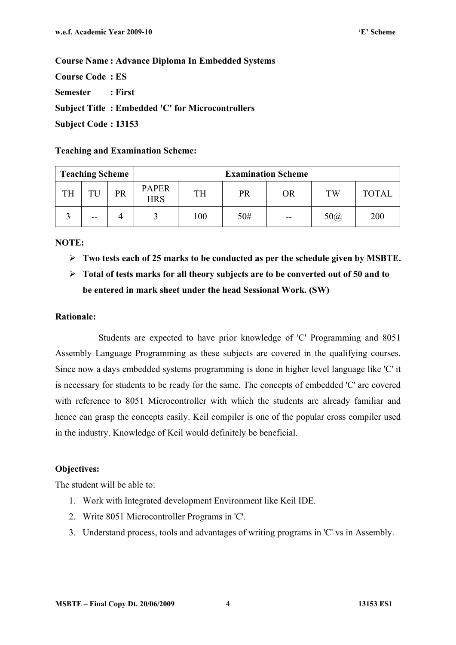**Course Code : ES Semester : First Subject Title : Embedded 'C' for Microcontrollers Subject Code : 13153** 

**Teaching and Examination Scheme:** 

| <b>Teaching Scheme</b> |       |    | <b>Examination Scheme</b>  |     |     |           |            |              |  |  |
|------------------------|-------|----|----------------------------|-----|-----|-----------|------------|--------------|--|--|
| <b>TH</b>              | TU    | PR | <b>PAPER</b><br><b>HRS</b> | TH  | PR  | <b>OR</b> | TW         | <b>TOTAL</b> |  |  |
|                        | $- -$ |    |                            | 100 | 50# | $-$       | $50\omega$ | 200          |  |  |

**NOTE:** 

- **Two tests each of 25 marks to be conducted as per the schedule given by MSBTE.**
- **Total of tests marks for all theory subjects are to be converted out of 50 and to be entered in mark sheet under the head Sessional Work. (SW)**

#### **Rationale:**

Students are expected to have prior knowledge of 'C' Programming and 8051 Assembly Language Programming as these subjects are covered in the qualifying courses. Since now a days embedded systems programming is done in higher level language like 'C' it is necessary for students to be ready for the same. The concepts of embedded 'C' are covered with reference to 8051 Microcontroller with which the students are already familiar and hence can grasp the concepts easily. Keil compiler is one of the popular cross compiler used in the industry. Knowledge of Keil would definitely be beneficial.

#### **Objectives:**

- 1. Work with Integrated development Environment like Keil IDE.
- 2. Write 8051 Microcontroller Programs in 'C'.
- 3. Understand process, tools and advantages of writing programs in 'C' vs in Assembly.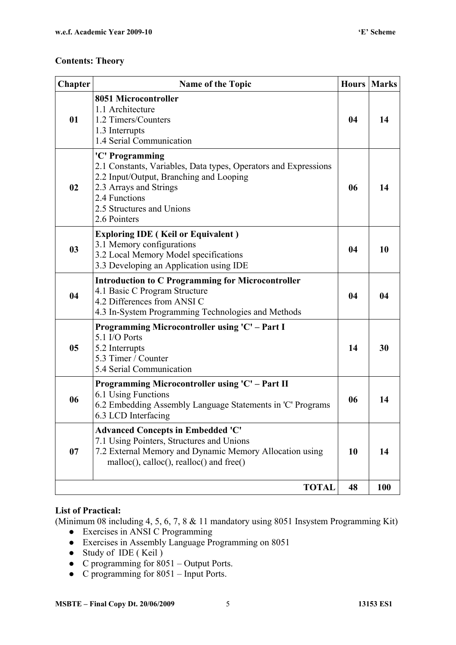| <b>Chapter</b> | <b>Name of the Topic</b>                                                                                                                                                                                              | <b>Hours</b> | <b>Marks</b> |
|----------------|-----------------------------------------------------------------------------------------------------------------------------------------------------------------------------------------------------------------------|--------------|--------------|
| 01             | 8051 Microcontroller<br>1.1 Architecture<br>1.2 Timers/Counters<br>1.3 Interrupts<br>1.4 Serial Communication                                                                                                         | 04           | 14           |
| 02             | 'C' Programming<br>2.1 Constants, Variables, Data types, Operators and Expressions<br>2.2 Input/Output, Branching and Looping<br>2.3 Arrays and Strings<br>2.4 Functions<br>2.5 Structures and Unions<br>2.6 Pointers | 06           | 14           |
| 03             | <b>Exploring IDE</b> (Keil or Equivalent)<br>3.1 Memory configurations<br>3.2 Local Memory Model specifications<br>3.3 Developing an Application using IDE                                                            | 04           | 10           |
| 04             | <b>Introduction to C Programming for Microcontroller</b><br>4.1 Basic C Program Structure<br>4.2 Differences from ANSI C<br>4.3 In-System Programming Technologies and Methods                                        | 04           | 04           |
| 05             | Programming Microcontroller using 'C' - Part I<br>5.1 I/O Ports<br>5.2 Interrupts<br>5.3 Timer / Counter<br>5.4 Serial Communication                                                                                  | 14           | 30           |
| 06             | Programming Microcontroller using 'C' – Part II<br>6.1 Using Functions<br>6.2 Embedding Assembly Language Statements in 'C' Programs<br>6.3 LCD Interfacing                                                           | 06           | 14           |
| 07             | <b>Advanced Concepts in Embedded 'C'</b><br>7.1 Using Pointers, Structures and Unions<br>7.2 External Memory and Dynamic Memory Allocation using<br>malloc(), calloc(), realloc() and free()                          | 10           | 14           |
|                | <b>TOTAL</b>                                                                                                                                                                                                          | 48           | 100          |

#### **List of Practical:**

(Minimum 08 including 4, 5, 6, 7, 8 & 11 mandatory using 8051 Insystem Programming Kit)

- Exercises in ANSI C Programming
- Exercises in Assembly Language Programming on 8051
- Study of IDE (Keil)
- C programming for  $8051 -$  Output Ports.
- C programming for  $8051$  Input Ports.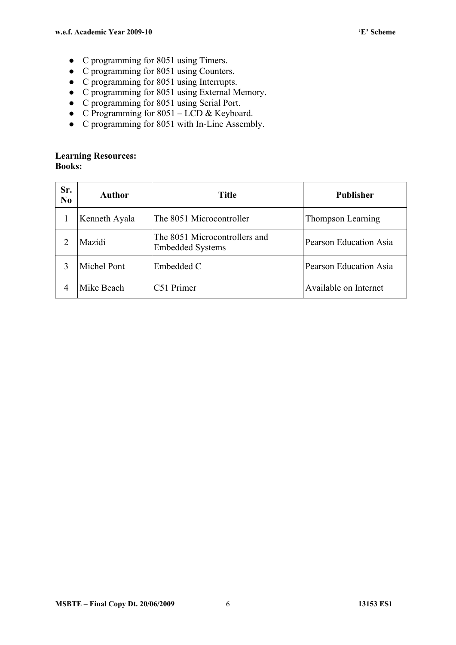- C programming for 8051 using Timers.
- C programming for 8051 using Counters.
- C programming for 8051 using Interrupts.
- C programming for 8051 using External Memory.
- C programming for 8051 using Serial Port.
- C Programming for  $8051 LCD$  & Keyboard.
- C programming for 8051 with In-Line Assembly.

#### **Learning Resources: Books:**

| Sr.<br>N <sub>0</sub> | <b>Author</b> | <b>Title</b>                                             | <b>Publisher</b>       |
|-----------------------|---------------|----------------------------------------------------------|------------------------|
|                       | Kenneth Ayala | The 8051 Microcontroller                                 | Thompson Learning      |
|                       | Mazidi        | The 8051 Microcontrollers and<br><b>Embedded Systems</b> | Pearson Education Asia |
| 3                     | Michel Pont   | Embedded C                                               | Pearson Education Asia |
| 4                     | Mike Beach    | C51 Primer                                               | Available on Internet  |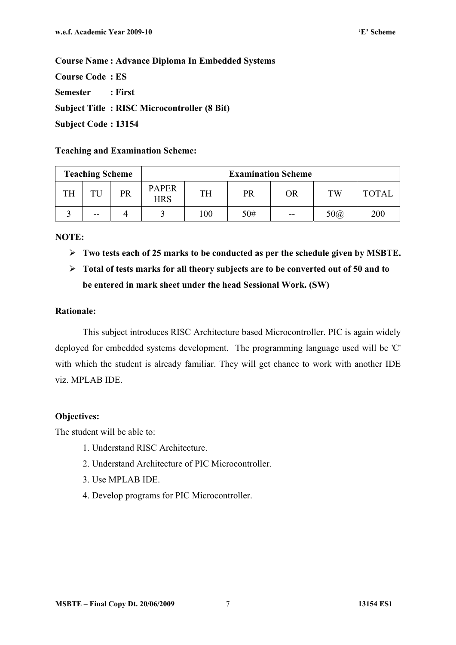**Course Code : ES Semester : First Subject Title : RISC Microcontroller (8 Bit) Subject Code : 13154** 

#### **Teaching and Examination Scheme:**

| <b>Teaching Scheme</b> |       |    | <b>Examination Scheme</b>  |           |     |    |            |              |  |  |
|------------------------|-------|----|----------------------------|-----------|-----|----|------------|--------------|--|--|
| TH                     | TU    | PR | <b>PAPER</b><br><b>HRS</b> | <b>TH</b> | PR  | OR | TW         | <b>TOTAL</b> |  |  |
|                        | $- -$ |    |                            | 100       | 50# | -- | $50\omega$ | 200          |  |  |

#### **NOTE:**

**Two tests each of 25 marks to be conducted as per the schedule given by MSBTE.** 

## **Total of tests marks for all theory subjects are to be converted out of 50 and to be entered in mark sheet under the head Sessional Work. (SW)**

#### **Rationale:**

This subject introduces RISC Architecture based Microcontroller. PIC is again widely deployed for embedded systems development. The programming language used will be 'C' with which the student is already familiar. They will get chance to work with another IDE viz. MPLAB IDE.

#### **Objectives:**

- 1. Understand RISC Architecture.
- 2. Understand Architecture of PIC Microcontroller.
- 3. Use MPLAB IDE.
- 4. Develop programs for PIC Microcontroller.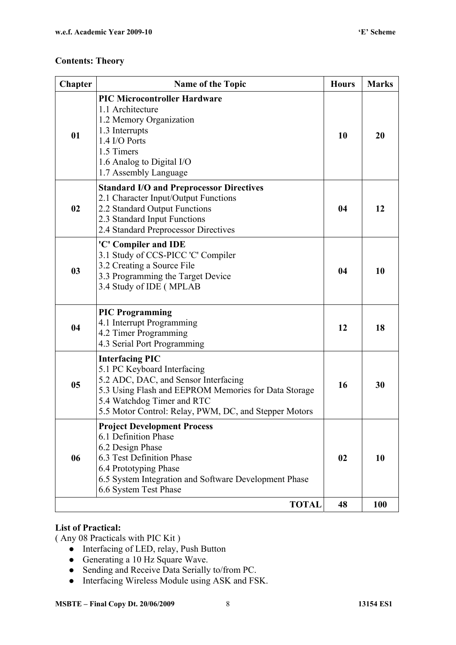| Chapter        | <b>Name of the Topic</b>                                                                                                                                                                                                                     | <b>Hours</b> | <b>Marks</b> |
|----------------|----------------------------------------------------------------------------------------------------------------------------------------------------------------------------------------------------------------------------------------------|--------------|--------------|
| 01             | <b>PIC Microcontroller Hardware</b><br>1.1 Architecture<br>1.2 Memory Organization<br>1.3 Interrupts<br>1.4 I/O Ports<br>1.5 Timers<br>1.6 Analog to Digital I/O<br>1.7 Assembly Language                                                    | 10           | 20           |
| 02             | <b>Standard I/O and Preprocessor Directives</b><br>2.1 Character Input/Output Functions<br>2.2 Standard Output Functions<br>2.3 Standard Input Functions<br>2.4 Standard Preprocessor Directives                                             | 04           | 12           |
| 0 <sub>3</sub> | 'C' Compiler and IDE<br>3.1 Study of CCS-PICC 'C' Compiler<br>3.2 Creating a Source File<br>3.3 Programming the Target Device<br>3.4 Study of IDE (MPLAB                                                                                     | 04           | 10           |
| 04             | <b>PIC Programming</b><br>4.1 Interrupt Programming<br>4.2 Timer Programming<br>4.3 Serial Port Programming                                                                                                                                  | 12           | 18           |
| 05             | <b>Interfacing PIC</b><br>5.1 PC Keyboard Interfacing<br>5.2 ADC, DAC, and Sensor Interfacing<br>5.3 Using Flash and EEPROM Memories for Data Storage<br>5.4 Watchdog Timer and RTC<br>5.5 Motor Control: Relay, PWM, DC, and Stepper Motors | 16           | 30           |
| 06             | <b>Project Development Process</b><br>6.1 Definition Phase<br>6.2 Design Phase<br>6.3 Test Definition Phase<br>6.4 Prototyping Phase<br>6.5 System Integration and Software Development Phase<br>6.6 System Test Phase                       | 02           | 10           |
|                | <b>TOTAL</b>                                                                                                                                                                                                                                 | 48           | <b>100</b>   |

#### **List of Practical:**

( Any 08 Practicals with PIC Kit )

- Interfacing of LED, relay, Push Button
- Generating a  $10 \text{ Hz}$  Square Wave.
- Sending and Receive Data Serially to/from PC.
- Interfacing Wireless Module using ASK and FSK.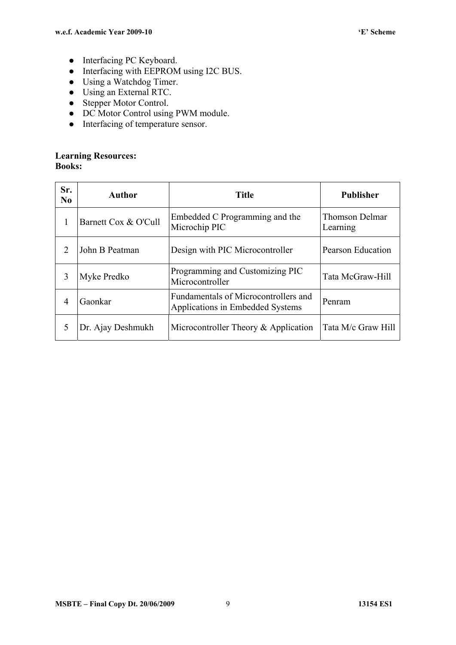- Interfacing PC Keyboard.
- Interfacing with EEPROM using I2C BUS.
- Using a Watchdog Timer.
- Using an External RTC.
- Stepper Motor Control.
- DC Motor Control using PWM module.
- Interfacing of temperature sensor.

#### **Learning Resources: Books:**

| Sr.<br>N <sub>0</sub> | Author               | <b>Title</b>                                                             | <b>Publisher</b>           |  |  |
|-----------------------|----------------------|--------------------------------------------------------------------------|----------------------------|--|--|
| 1                     | Barnett Cox & O'Cull | Embedded C Programming and the<br>Microchip PIC                          | Thomson Delmar<br>Learning |  |  |
| 2                     | John B Peatman       | Design with PIC Microcontroller                                          | Pearson Education          |  |  |
| 3                     | Myke Predko          | Programming and Customizing PIC<br>Microcontroller                       | Tata McGraw-Hill           |  |  |
| 4                     | Gaonkar              | Fundamentals of Microcontrollers and<br>Applications in Embedded Systems | Penram                     |  |  |
| 5                     | Dr. Ajay Deshmukh    | Microcontroller Theory & Application                                     | Tata M/c Graw Hill         |  |  |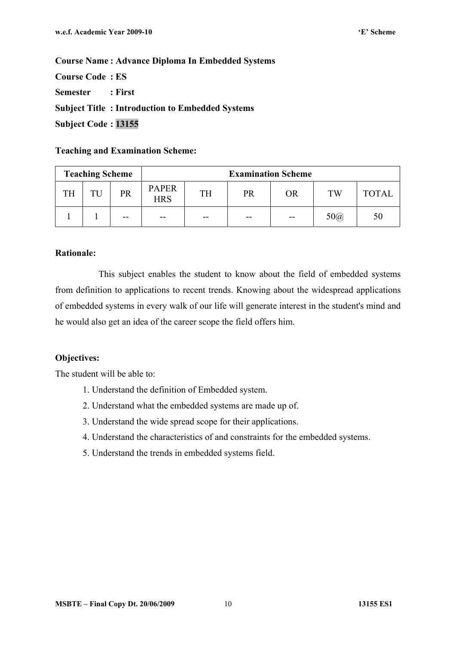**Course Code : ES Semester : First Subject Title : Introduction to Embedded Systems Subject Code : 13155** 

#### **Teaching and Examination Scheme:**

| <b>Teaching Scheme</b> |    |    | <b>Examination Scheme</b>  |           |    |    |            |              |  |  |
|------------------------|----|----|----------------------------|-----------|----|----|------------|--------------|--|--|
| TH                     | TU | PR | <b>PAPER</b><br><b>HRS</b> | <b>TH</b> | PR | OR | TW         | <b>TOTAL</b> |  |  |
|                        |    | -- | $- -$                      | $- -$     | -- | -- | $50\omega$ | 50           |  |  |

#### **Rationale:**

This subject enables the student to know about the field of embedded systems from definition to applications to recent trends. Knowing about the widespread applications of embedded systems in every walk of our life will generate interest in the student's mind and he would also get an idea of the career scope the field offers him.

#### **Objectives:**

- 1. Understand the definition of Embedded system.
- 2. Understand what the embedded systems are made up of.
- 3. Understand the wide spread scope for their applications.
- 4. Understand the characteristics of and constraints for the embedded systems.
- 5. Understand the trends in embedded systems field.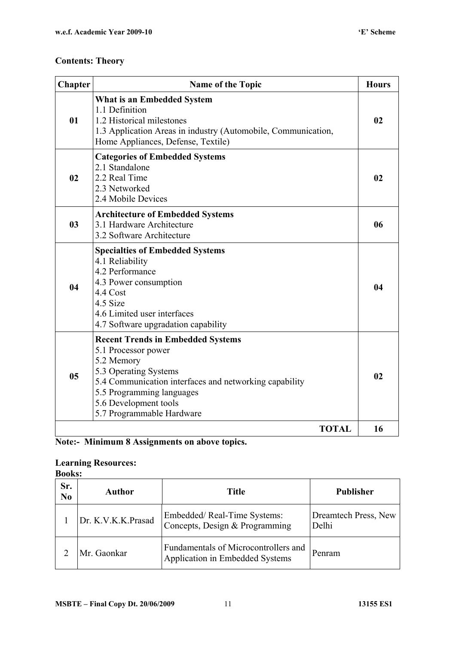| <b>Chapter</b> | Name of the Topic                                                                                                                                                                                                                                   | <b>Hours</b> |
|----------------|-----------------------------------------------------------------------------------------------------------------------------------------------------------------------------------------------------------------------------------------------------|--------------|
| 01             | What is an Embedded System<br>1.1 Definition<br>1.2 Historical milestones<br>1.3 Application Areas in industry (Automobile, Communication,<br>Home Appliances, Defense, Textile)                                                                    | 02           |
| 02             | <b>Categories of Embedded Systems</b><br>2.1 Standalone<br>2.2 Real Time<br>2.3 Networked<br>2.4 Mobile Devices                                                                                                                                     | 02           |
| 0 <sub>3</sub> | <b>Architecture of Embedded Systems</b><br>3.1 Hardware Architecture<br>3.2 Software Architecture                                                                                                                                                   | 06           |
| 04             | <b>Specialties of Embedded Systems</b><br>4.1 Reliability<br>4.2 Performance<br>4.3 Power consumption<br>4.4 Cost<br>4.5 Size<br>4.6 Limited user interfaces<br>4.7 Software upgradation capability                                                 | 04           |
| 05             | <b>Recent Trends in Embedded Systems</b><br>5.1 Processor power<br>5.2 Memory<br>5.3 Operating Systems<br>5.4 Communication interfaces and networking capability<br>5.5 Programming languages<br>5.6 Development tools<br>5.7 Programmable Hardware | 02           |
|                | <b>TOTAL</b>                                                                                                                                                                                                                                        | 16           |

#### **Learning Resources:**

|                       | <b>Books:</b>      |                                                                         |                               |  |  |  |  |  |  |  |  |
|-----------------------|--------------------|-------------------------------------------------------------------------|-------------------------------|--|--|--|--|--|--|--|--|
| Sr.<br>N <sub>0</sub> | Author             | <b>Title</b>                                                            | <b>Publisher</b>              |  |  |  |  |  |  |  |  |
|                       | Dr. K.V.K.K.Prasad | Embedded/Real-Time Systems:<br>Concepts, Design & Programming           | Dreamtech Press, New<br>Delhi |  |  |  |  |  |  |  |  |
|                       | Mr. Gaonkar        | Fundamentals of Microcontrollers and<br>Application in Embedded Systems | Penram                        |  |  |  |  |  |  |  |  |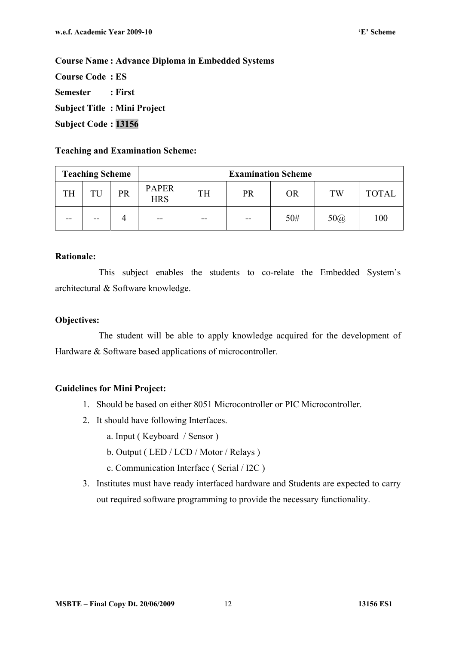**Course Code : ES Semester : First Subject Title : Mini Project Subject Code : 13156** 

#### **Teaching and Examination Scheme:**

| <b>Teaching Scheme</b> |    | <b>Examination Scheme</b> |                            |           |           |     |            |              |
|------------------------|----|---------------------------|----------------------------|-----------|-----------|-----|------------|--------------|
| <b>TH</b>              | TU | PR                        | <b>PAPER</b><br><b>HRS</b> | <b>TH</b> | <b>PR</b> | OR  | <b>TW</b>  | <b>TOTAL</b> |
| --                     | -- |                           | $- -$                      | $- -$     | $- -$     | 50# | $50\omega$ | 100          |

#### **Rationale:**

This subject enables the students to co-relate the Embedded System's architectural & Software knowledge.

#### **Objectives:**

The student will be able to apply knowledge acquired for the development of Hardware & Software based applications of microcontroller.

#### **Guidelines for Mini Project:**

- 1. Should be based on either 8051 Microcontroller or PIC Microcontroller.
- 2. It should have following Interfaces.
	- a. Input ( Keyboard / Sensor )
	- b. Output ( LED / LCD / Motor / Relays )
	- c. Communication Interface ( Serial / I2C )
- 3. Institutes must have ready interfaced hardware and Students are expected to carry out required software programming to provide the necessary functionality.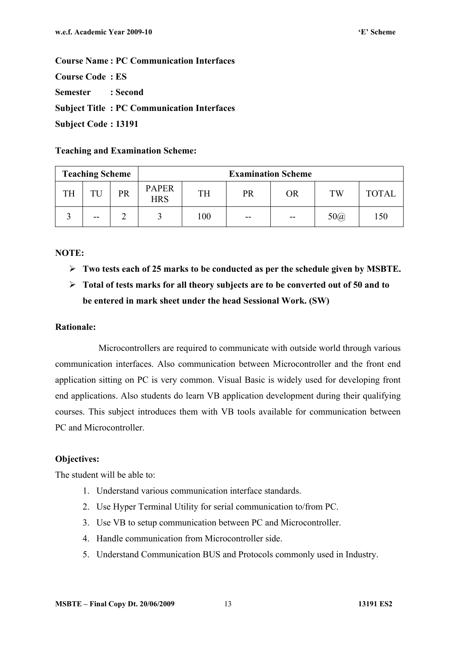**Course Name : PC Communication Interfaces** 

**Course Code : ES** 

**Semester : Second** 

**Subject Title : PC Communication Interfaces** 

**Subject Code : 13191** 

**Teaching and Examination Scheme:** 

| <b>Teaching Scheme</b> |       | <b>Examination Scheme</b> |                            |           |       |       |            |              |
|------------------------|-------|---------------------------|----------------------------|-----------|-------|-------|------------|--------------|
| <b>TH</b>              | TU    | PR                        | <b>PAPER</b><br><b>HRS</b> | <b>TH</b> | PR    | OR    | TW         | <b>TOTAL</b> |
|                        | $- -$ |                           |                            | 100       | $- -$ | $- -$ | $50\omega$ | 150          |

#### **NOTE:**

- **Two tests each of 25 marks to be conducted as per the schedule given by MSBTE.**
- **Total of tests marks for all theory subjects are to be converted out of 50 and to be entered in mark sheet under the head Sessional Work. (SW)**

#### **Rationale:**

Microcontrollers are required to communicate with outside world through various communication interfaces. Also communication between Microcontroller and the front end application sitting on PC is very common. Visual Basic is widely used for developing front end applications. Also students do learn VB application development during their qualifying courses. This subject introduces them with VB tools available for communication between PC and Microcontroller.

#### **Objectives:**

- 1. Understand various communication interface standards.
- 2. Use Hyper Terminal Utility for serial communication to/from PC.
- 3. Use VB to setup communication between PC and Microcontroller.
- 4. Handle communication from Microcontroller side.
- 5. Understand Communication BUS and Protocols commonly used in Industry.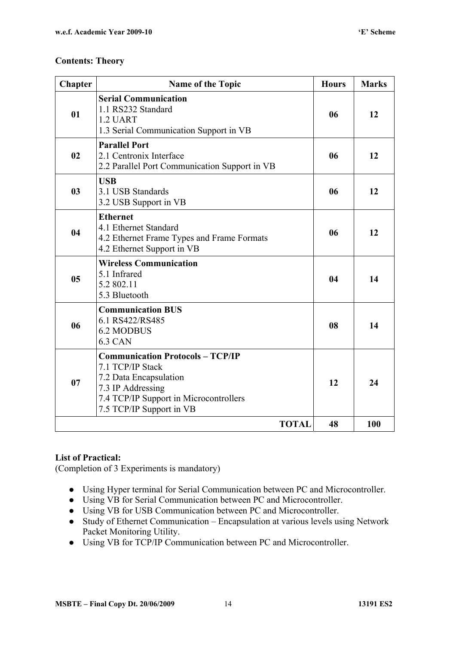| Chapter        | <b>Name of the Topic</b>                                                                                                                                                         | <b>Hours</b> | <b>Marks</b> |
|----------------|----------------------------------------------------------------------------------------------------------------------------------------------------------------------------------|--------------|--------------|
| 01             | <b>Serial Communication</b><br>1.1 RS232 Standard<br>1.2 UART<br>1.3 Serial Communication Support in VB                                                                          | 06           | 12           |
| 02             | <b>Parallel Port</b><br>2.1 Centronix Interface<br>2.2 Parallel Port Communication Support in VB                                                                                 | 06           | 12           |
| 0 <sub>3</sub> | <b>USB</b><br>3.1 USB Standards<br>3.2 USB Support in VB                                                                                                                         | 06           | 12           |
| 04             | <b>Ethernet</b><br>4.1 Ethernet Standard<br>4.2 Ethernet Frame Types and Frame Formats<br>4.2 Ethernet Support in VB                                                             | 06           | 12           |
| 05             | <b>Wireless Communication</b><br>5.1 Infrared<br>5.2 802.11<br>5.3 Bluetooth                                                                                                     | 04           | 14           |
| 06             | <b>Communication BUS</b><br>6.1 RS422/RS485<br><b>6.2 MODBUS</b><br><b>6.3 CAN</b>                                                                                               | 08           | 14           |
| 07             | <b>Communication Protocols - TCP/IP</b><br>7.1 TCP/IP Stack<br>7.2 Data Encapsulation<br>7.3 IP Addressing<br>7.4 TCP/IP Support in Microcontrollers<br>7.5 TCP/IP Support in VB | 12           | 24           |
|                | <b>TOTAL</b>                                                                                                                                                                     | 48           | 100          |

#### **List of Practical:**

(Completion of 3 Experiments is mandatory)

- Using Hyper terminal for Serial Communication between PC and Microcontroller.
- Using VB for Serial Communication between PC and Microcontroller.
- Using VB for USB Communication between PC and Microcontroller.
- Study of Ethernet Communication Encapsulation at various levels using Network Packet Monitoring Utility.
- Using VB for TCP/IP Communication between PC and Microcontroller.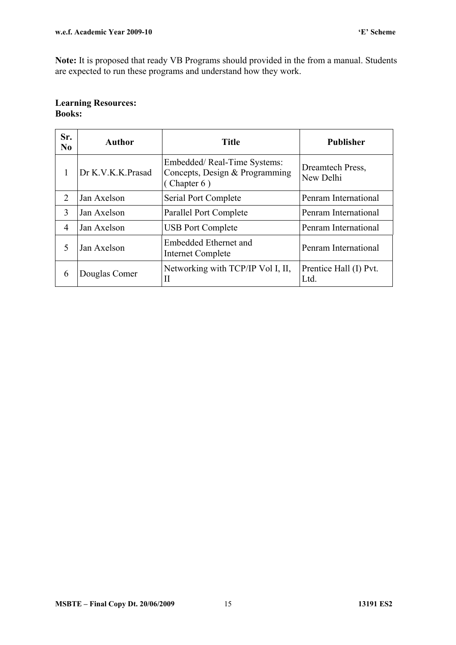**Note:** It is proposed that ready VB Programs should provided in the from a manual. Students are expected to run these programs and understand how they work.

#### **Learning Resources: Books:**

| Sr.<br>N <sub>0</sub>       | Author            | <b>Title</b>                                                                    | <b>Publisher</b>               |  |  |
|-----------------------------|-------------------|---------------------------------------------------------------------------------|--------------------------------|--|--|
|                             | Dr K.V.K.K.Prasad | Embedded/Real-Time Systems:<br>Concepts, Design & Programming<br>(Chapter $6$ ) | Dreamtech Press,<br>New Delhi  |  |  |
| $\mathcal{D}_{\mathcal{L}}$ | Jan Axelson       | Serial Port Complete                                                            | Penram International           |  |  |
| 3                           | Jan Axelson       | Parallel Port Complete                                                          | Penram International           |  |  |
| 4                           | Jan Axelson       | <b>USB Port Complete</b>                                                        | Penram International           |  |  |
| 5                           | Jan Axelson       | Embedded Ethernet and<br>Internet Complete                                      | Penram International           |  |  |
| 6                           | Douglas Comer     | Networking with TCP/IP Vol I, II,<br>Н                                          | Prentice Hall (I) Pvt.<br>Ltd. |  |  |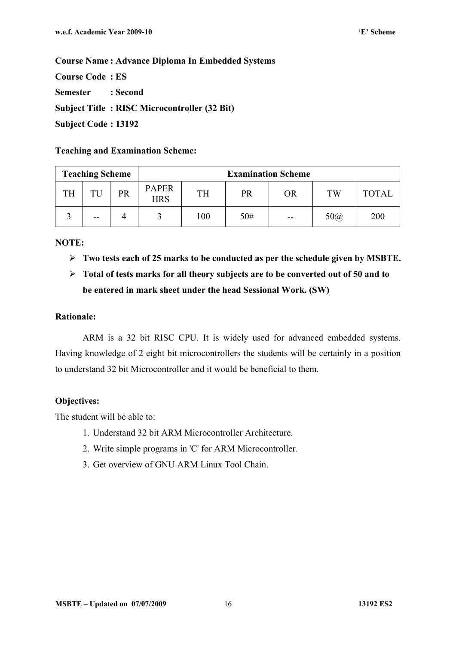**Course Code : ES Semester : Second Subject Title : RISC Microcontroller (32 Bit) Subject Code : 13192** 

#### **Teaching and Examination Scheme:**

| <b>Teaching Scheme</b> |       |    |                            |           |     | <b>Examination Scheme</b> |            |              |
|------------------------|-------|----|----------------------------|-----------|-----|---------------------------|------------|--------------|
| TH                     | TU    | PR | <b>PAPER</b><br><b>HRS</b> | <b>TH</b> | PR  | <b>OR</b>                 | <b>TW</b>  | <b>TOTAL</b> |
|                        | $- -$ |    |                            | 100       | 50# | $- -$                     | $50\omega$ | 200          |

#### **NOTE:**

**Two tests each of 25 marks to be conducted as per the schedule given by MSBTE.** 

## **Total of tests marks for all theory subjects are to be converted out of 50 and to be entered in mark sheet under the head Sessional Work. (SW)**

#### **Rationale:**

ARM is a 32 bit RISC CPU. It is widely used for advanced embedded systems. Having knowledge of 2 eight bit microcontrollers the students will be certainly in a position to understand 32 bit Microcontroller and it would be beneficial to them.

#### **Objectives:**

- 1. Understand 32 bit ARM Microcontroller Architecture.
- 2. Write simple programs in 'C' for ARM Microcontroller.
- 3. Get overview of GNU ARM Linux Tool Chain.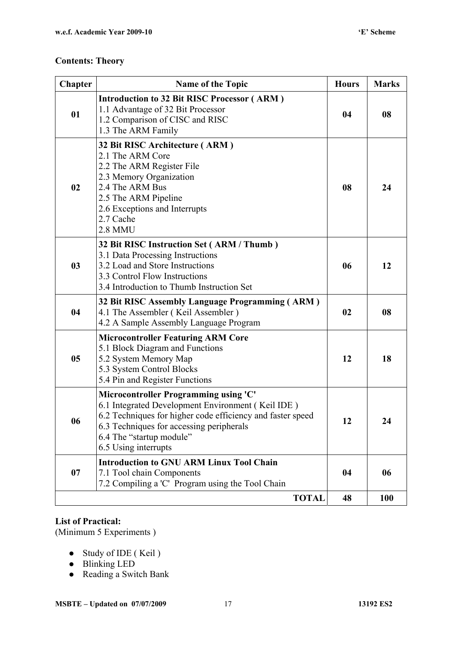| <b>Chapter</b> | <b>Name of the Topic</b>                                                                                                                                                                                                                                 | <b>Hours</b> | <b>Marks</b> |
|----------------|----------------------------------------------------------------------------------------------------------------------------------------------------------------------------------------------------------------------------------------------------------|--------------|--------------|
| 01             | <b>Introduction to 32 Bit RISC Processor (ARM)</b><br>1.1 Advantage of 32 Bit Processor<br>1.2 Comparison of CISC and RISC<br>1.3 The ARM Family                                                                                                         | 04           | 08           |
| 02             | 32 Bit RISC Architecture (ARM)<br>2.1 The ARM Core<br>2.2 The ARM Register File<br>2.3 Memory Organization<br>2.4 The ARM Bus<br>2.5 The ARM Pipeline<br>2.6 Exceptions and Interrupts<br>2.7 Cache<br><b>2.8 MMU</b>                                    | 08           | 24           |
| 0 <sub>3</sub> | 32 Bit RISC Instruction Set (ARM / Thumb)<br>3.1 Data Processing Instructions<br>3.2 Load and Store Instructions<br>3.3 Control Flow Instructions<br>3.4 Introduction to Thumb Instruction Set                                                           | 06           | 12           |
| 04             | 32 Bit RISC Assembly Language Programming (ARM)<br>4.1 The Assembler (Keil Assembler)<br>4.2 A Sample Assembly Language Program                                                                                                                          | 02           | 08           |
| 05             | <b>Microcontroller Featuring ARM Core</b><br>5.1 Block Diagram and Functions<br>5.2 System Memory Map<br>5.3 System Control Blocks<br>5.4 Pin and Register Functions                                                                                     | 12           | 18           |
| 06             | Microcontroller Programming using 'C'<br>6.1 Integrated Development Environment (Keil IDE)<br>6.2 Techniques for higher code efficiency and faster speed<br>6.3 Techniques for accessing peripherals<br>6.4 The "startup module"<br>6.5 Using interrupts | 12           | 24           |
| 07             | <b>Introduction to GNU ARM Linux Tool Chain</b><br>7.1 Tool chain Components<br>7.2 Compiling a 'C' Program using the Tool Chain                                                                                                                         | 04           | 06           |
|                | <b>TOTAL</b>                                                                                                                                                                                                                                             | 48           | <b>100</b>   |

#### **List of Practical:**

(Minimum 5 Experiments )

- Study of IDE (Keil)
- Blinking LED
- Reading a Switch Bank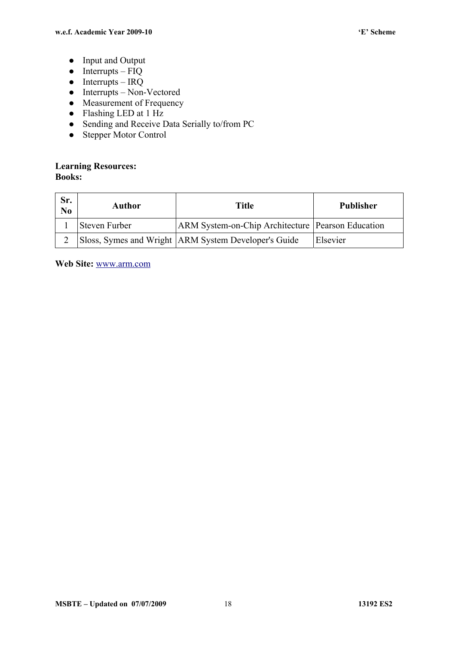- Input and Output
- $\bullet$  Interrupts FIQ
- $\bullet$  Interrupts IRQ
- $\bullet$  Interrupts Non-Vectored
- Measurement of Frequency
- Flashing LED at 1 Hz
- Sending and Receive Data Serially to/from PC
- Stepper Motor Control

#### **Learning Resources: Books:**

| Sr.<br>N <sub>0</sub> | Author        | Title                                                    | Publisher |  |
|-----------------------|---------------|----------------------------------------------------------|-----------|--|
|                       | Steven Furber | <b>ARM System-on-Chip Architecture Pearson Education</b> |           |  |
|                       |               | Sloss, Symes and Wright   ARM System Developer's Guide   | Elsevier  |  |

**Web Site:** www.arm.com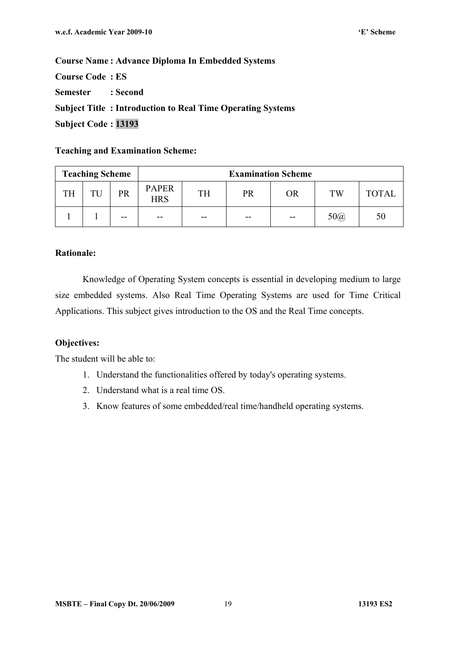**Course Code : ES Semester : Second Subject Title : Introduction to Real Time Operating Systems Subject Code : 13193** 

#### **Teaching and Examination Scheme:**

| <b>Teaching Scheme</b> |    | <b>Examination Scheme</b> |                            |       |       |           |            |              |
|------------------------|----|---------------------------|----------------------------|-------|-------|-----------|------------|--------------|
| <b>TH</b>              | TU | PR                        | <b>PAPER</b><br><b>HRS</b> | TH    | PR    | <b>OR</b> | TW         | <b>TOTAL</b> |
|                        |    | --                        | $- -$                      | $- -$ | $- -$ | $- -$     | $50\omega$ | 50           |

#### **Rationale:**

Knowledge of Operating System concepts is essential in developing medium to large size embedded systems. Also Real Time Operating Systems are used for Time Critical Applications. This subject gives introduction to the OS and the Real Time concepts.

#### **Objectives:**

- 1. Understand the functionalities offered by today's operating systems.
- 2. Understand what is a real time OS.
- 3. Know features of some embedded/real time/handheld operating systems.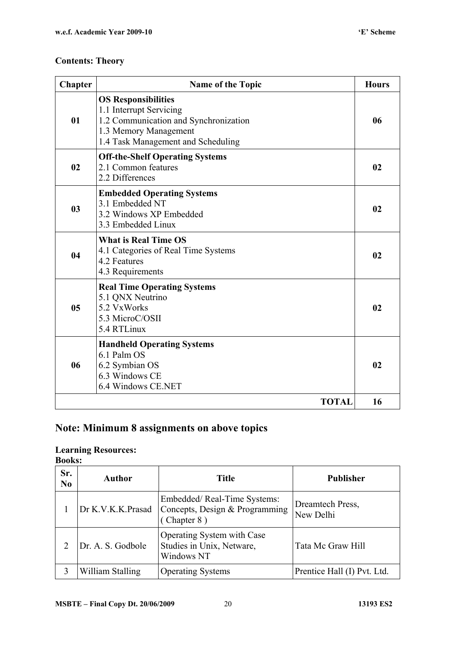| <b>Chapter</b> | <b>Name of the Topic</b>                                                                                                                                      | <b>Hours</b> |
|----------------|---------------------------------------------------------------------------------------------------------------------------------------------------------------|--------------|
| 01             | <b>OS Responsibilities</b><br>1.1 Interrupt Servicing<br>1.2 Communication and Synchronization<br>1.3 Memory Management<br>1.4 Task Management and Scheduling | 06           |
| 02             | <b>Off-the-Shelf Operating Systems</b><br>2.1 Common features<br>2.2 Differences                                                                              | 02           |
| 0 <sub>3</sub> | <b>Embedded Operating Systems</b><br>3.1 Embedded NT<br>3.2 Windows XP Embedded<br>3.3 Embedded Linux                                                         | 02           |
| 04             | <b>What is Real Time OS</b><br>4.1 Categories of Real Time Systems<br>4.2 Features<br>4.3 Requirements                                                        | 02           |
| 0 <sub>5</sub> | <b>Real Time Operating Systems</b><br>5.1 QNX Neutrino<br>5.2 VxWorks<br>5.3 MicroC/OSII<br>5.4 RTLinux                                                       | 02           |
| 06             | <b>Handheld Operating Systems</b><br>6.1 Palm OS<br>6.2 Symbian OS<br>6.3 Windows CE<br>6.4 Windows CE.NET                                                    | 02           |
|                | <b>TOTAL</b>                                                                                                                                                  | 16           |

## **Note: Minimum 8 assignments on above topics**

### **Learning Resources:**

**Books:** 

| Sr.<br>N <sub>0</sub> | Author            | <b>Title</b>                                                                 | <b>Publisher</b>              |
|-----------------------|-------------------|------------------------------------------------------------------------------|-------------------------------|
|                       | Dr K.V.K.K.Prasad | Embedded/Real-Time Systems:<br>Concepts, Design & Programming<br>(Chapter 8) | Dreamtech Press,<br>New Delhi |
| 2                     | Dr. A. S. Godbole | Operating System with Case<br>Studies in Unix, Netware,<br>Windows NT        | Tata Mc Graw Hill             |
| 3                     | William Stalling  | <b>Operating Systems</b>                                                     | Prentice Hall (I) Pvt. Ltd.   |